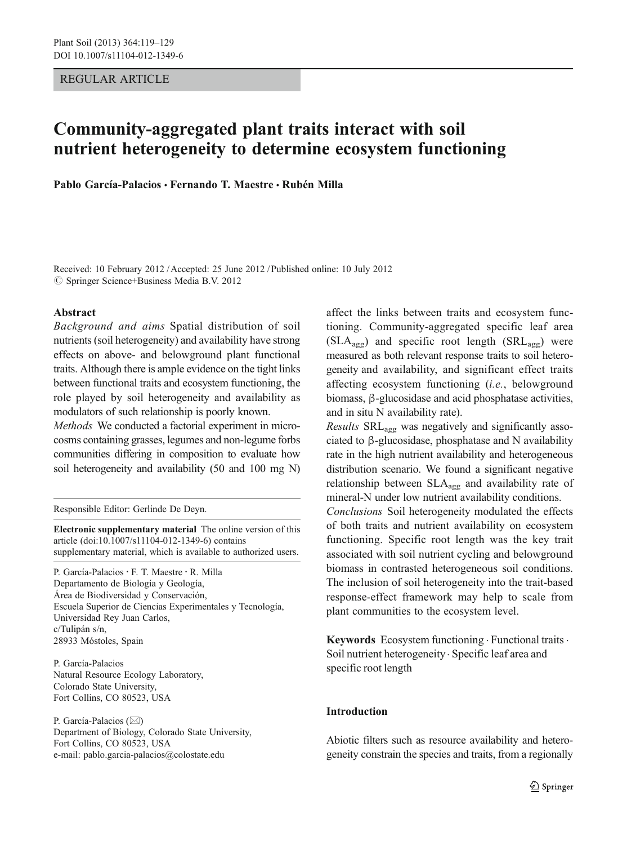REGULAR ARTICLE

# Community-aggregated plant traits interact with soil nutrient heterogeneity to determine ecosystem functioning

Pablo García-Palacios · Fernando T. Maestre · Rubén Milla

Received: 10 February 2012 /Accepted: 25 June 2012 / Published online: 10 July 2012 © Springer Science+Business Media B.V. 2012

### Abstract

Background and aims Spatial distribution of soil nutrients (soil heterogeneity) and availability have strong effects on above- and belowground plant functional traits. Although there is ample evidence on the tight links between functional traits and ecosystem functioning, the role played by soil heterogeneity and availability as modulators of such relationship is poorly known.

Methods We conducted a factorial experiment in microcosms containing grasses, legumes and non-legume forbs communities differing in composition to evaluate how soil heterogeneity and availability (50 and 100 mg N)

Responsible Editor: Gerlinde De Deyn.

Electronic supplementary material The online version of this article (doi:[10.1007/s11104-012-1349-6\)](http://dx.doi.org/10.1007/s11104-012-1349-6) contains supplementary material, which is available to authorized users.

P. García-Palacios · F. T. Maestre · R. Milla Departamento de Biología y Geología, Área de Biodiversidad y Conservación, Escuela Superior de Ciencias Experimentales y Tecnología, Universidad Rey Juan Carlos, c/Tulipán s/n, 28933 Móstoles, Spain

P. García-Palacios Natural Resource Ecology Laboratory, Colorado State University, Fort Collins, CO 80523, USA

P. García-Palacios ( $\boxtimes$ ) Department of Biology, Colorado State University, Fort Collins, CO 80523, USA e-mail: pablo.garcia-palacios@colostate.edu

affect the links between traits and ecosystem functioning. Community-aggregated specific leaf area  $(SLA<sub>agg</sub>)$  and specific root length  $(SRL<sub>agg</sub>)$  were measured as both relevant response traits to soil heterogeneity and availability, and significant effect traits affecting ecosystem functioning (i.e., belowground biomass, β-glucosidase and acid phosphatase activities, and in situ N availability rate).

*Results*  $SRL_{\text{av}}$  was negatively and significantly associated to β-glucosidase, phosphatase and N availability rate in the high nutrient availability and heterogeneous distribution scenario. We found a significant negative relationship between SLAagg and availability rate of mineral-N under low nutrient availability conditions.

Conclusions Soil heterogeneity modulated the effects of both traits and nutrient availability on ecosystem functioning. Specific root length was the key trait associated with soil nutrient cycling and belowground biomass in contrasted heterogeneous soil conditions. The inclusion of soil heterogeneity into the trait-based response-effect framework may help to scale from plant communities to the ecosystem level.

Keywords Ecosystem functioning · Functional traits · Soil nutrient heterogeneity. Specific leaf area and specific root length

#### Introduction

Abiotic filters such as resource availability and heterogeneity constrain the species and traits, from a regionally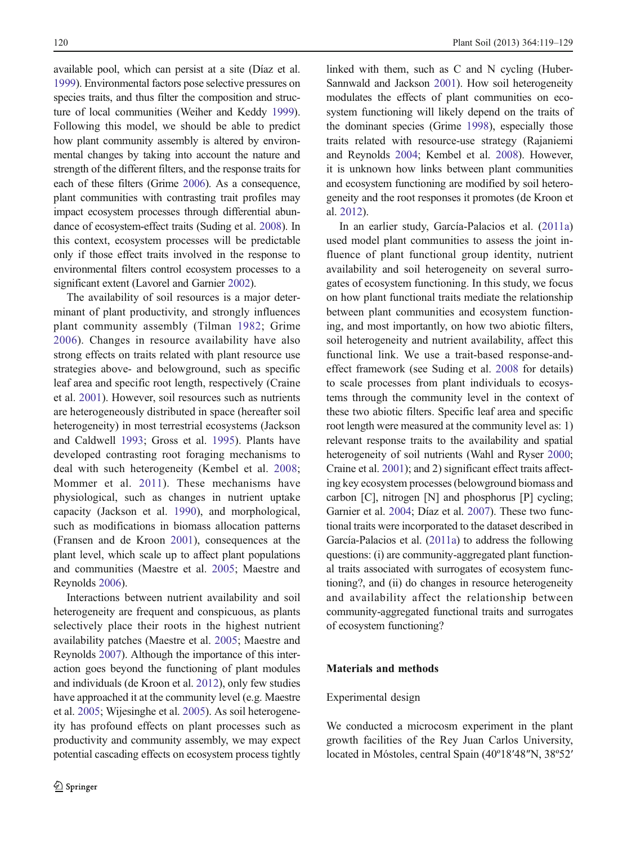available pool, which can persist at a site (Díaz et al. [1999](#page-8-0)). Environmental factors pose selective pressures on species traits, and thus filter the composition and structure of local communities (Weiher and Keddy [1999\)](#page-10-0). Following this model, we should be able to predict how plant community assembly is altered by environmental changes by taking into account the nature and strength of the different filters, and the response traits for each of these filters (Grime [2006](#page-9-0)). As a consequence, plant communities with contrasting trait profiles may impact ecosystem processes through differential abundance of ecosystem-effect traits (Suding et al. [2008\)](#page-9-0). In this context, ecosystem processes will be predictable only if those effect traits involved in the response to environmental filters control ecosystem processes to a significant extent (Lavorel and Garnier [2002](#page-9-0)).

The availability of soil resources is a major determinant of plant productivity, and strongly influences plant community assembly (Tilman [1982](#page-9-0); Grime [2006](#page-9-0)). Changes in resource availability have also strong effects on traits related with plant resource use strategies above- and belowground, such as specific leaf area and specific root length, respectively (Craine et al. [2001\)](#page-8-0). However, soil resources such as nutrients are heterogeneously distributed in space (hereafter soil heterogeneity) in most terrestrial ecosystems (Jackson and Caldwell [1993](#page-9-0); Gross et al. [1995](#page-9-0)). Plants have developed contrasting root foraging mechanisms to deal with such heterogeneity (Kembel et al. [2008](#page-9-0); Mommer et al. [2011](#page-9-0)). These mechanisms have physiological, such as changes in nutrient uptake capacity (Jackson et al. [1990\)](#page-9-0), and morphological, such as modifications in biomass allocation patterns (Fransen and de Kroon [2001\)](#page-8-0), consequences at the plant level, which scale up to affect plant populations and communities (Maestre et al. [2005;](#page-9-0) Maestre and Reynolds [2006\)](#page-9-0).

Interactions between nutrient availability and soil heterogeneity are frequent and conspicuous, as plants selectively place their roots in the highest nutrient availability patches (Maestre et al. [2005](#page-9-0); Maestre and Reynolds [2007\)](#page-9-0). Although the importance of this interaction goes beyond the functioning of plant modules and individuals (de Kroon et al. [2012\)](#page-8-0), only few studies have approached it at the community level (e.g. Maestre et al. [2005](#page-9-0); Wijesinghe et al. [2005](#page-10-0)). As soil heterogeneity has profound effects on plant processes such as productivity and community assembly, we may expect potential cascading effects on ecosystem process tightly linked with them, such as C and N cycling (Huber-Sannwald and Jackson [2001](#page-9-0)). How soil heterogeneity modulates the effects of plant communities on ecosystem functioning will likely depend on the traits of the dominant species (Grime [1998\)](#page-8-0), especially those traits related with resource-use strategy (Rajaniemi and Reynolds [2004;](#page-9-0) Kembel et al. [2008](#page-9-0)). However, it is unknown how links between plant communities and ecosystem functioning are modified by soil heterogeneity and the root responses it promotes (de Kroon et al. [2012](#page-8-0)).

In an earlier study, García-Palacios et al. [\(2011a](#page-8-0)) used model plant communities to assess the joint influence of plant functional group identity, nutrient availability and soil heterogeneity on several surrogates of ecosystem functioning. In this study, we focus on how plant functional traits mediate the relationship between plant communities and ecosystem functioning, and most importantly, on how two abiotic filters, soil heterogeneity and nutrient availability, affect this functional link. We use a trait-based response-andeffect framework (see Suding et al. [2008](#page-9-0) for details) to scale processes from plant individuals to ecosystems through the community level in the context of these two abiotic filters. Specific leaf area and specific root length were measured at the community level as: 1) relevant response traits to the availability and spatial heterogeneity of soil nutrients (Wahl and Ryser [2000;](#page-10-0) Craine et al. [2001](#page-8-0)); and 2) significant effect traits affecting key ecosystem processes (belowground biomass and carbon [C], nitrogen [N] and phosphorus [P] cycling; Garnier et al. [2004](#page-8-0); Díaz et al. [2007\)](#page-8-0). These two functional traits were incorporated to the dataset described in García-Palacios et al. ([2011a](#page-8-0)) to address the following questions: (i) are community-aggregated plant functional traits associated with surrogates of ecosystem functioning?, and (ii) do changes in resource heterogeneity and availability affect the relationship between community-aggregated functional traits and surrogates of ecosystem functioning?

#### Materials and methods

#### Experimental design

We conducted a microcosm experiment in the plant growth facilities of the Rey Juan Carlos University, located in Móstoles, central Spain (40º18′48″N, 38º52′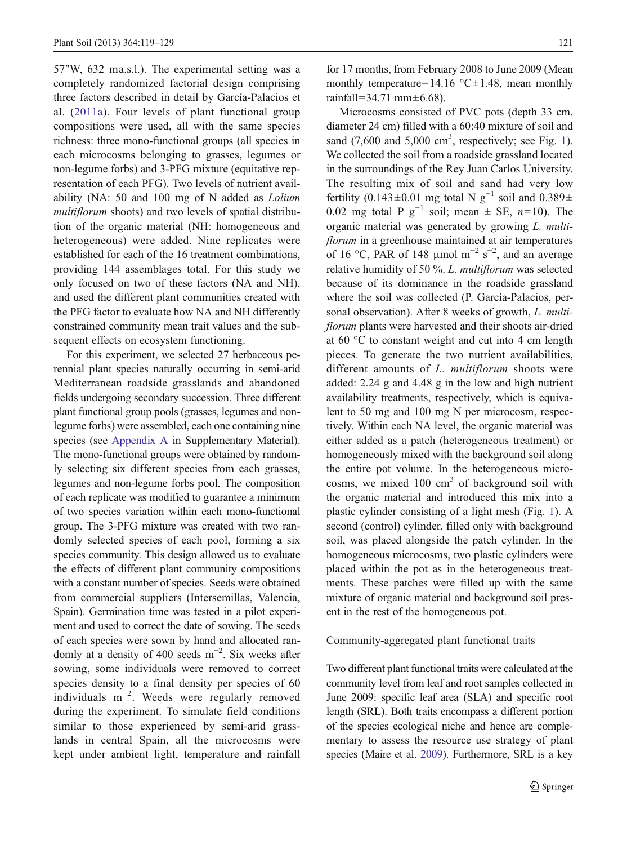57″W, 632 ma.s.l.). The experimental setting was a completely randomized factorial design comprising three factors described in detail by García-Palacios et al. ([2011a\)](#page-8-0). Four levels of plant functional group compositions were used, all with the same species richness: three mono-functional groups (all species in each microcosms belonging to grasses, legumes or non-legume forbs) and 3-PFG mixture (equitative representation of each PFG). Two levels of nutrient availability (NA: 50 and 100 mg of N added as Lolium multiflorum shoots) and two levels of spatial distribution of the organic material (NH: homogeneous and heterogeneous) were added. Nine replicates were established for each of the 16 treatment combinations, providing 144 assemblages total. For this study we only focused on two of these factors (NA and NH), and used the different plant communities created with the PFG factor to evaluate how NA and NH differently constrained community mean trait values and the subsequent effects on ecosystem functioning.

For this experiment, we selected 27 herbaceous perennial plant species naturally occurring in semi-arid Mediterranean roadside grasslands and abandoned fields undergoing secondary succession. Three different plant functional group pools (grasses, legumes and nonlegume forbs) were assembled, each one containing nine species (see Appendix A in Supplementary Material). The mono-functional groups were obtained by randomly selecting six different species from each grasses, legumes and non-legume forbs pool. The composition of each replicate was modified to guarantee a minimum of two species variation within each mono-functional group. The 3-PFG mixture was created with two randomly selected species of each pool, forming a six species community. This design allowed us to evaluate the effects of different plant community compositions with a constant number of species. Seeds were obtained from commercial suppliers (Intersemillas, Valencia, Spain). Germination time was tested in a pilot experiment and used to correct the date of sowing. The seeds of each species were sown by hand and allocated randomly at a density of 400 seeds  $m^{-2}$ . Six weeks after sowing, some individuals were removed to correct species density to a final density per species of 60 individuals m−<sup>2</sup> . Weeds were regularly removed during the experiment. To simulate field conditions similar to those experienced by semi-arid grasslands in central Spain, all the microcosms were kept under ambient light, temperature and rainfall for 17 months, from February 2008 to June 2009 (Mean monthly temperature=14.16 °C $\pm$ 1.48, mean monthly rainfall=34.71 mm $\pm$ 6.68).

Microcosms consisted of PVC pots (depth 33 cm, diameter 24 cm) filled with a 60:40 mixture of soil and sand  $(7,600 \text{ and } 5,000 \text{ cm}^3, \text{ respectively}; \text{ see Fig. 1}).$ We collected the soil from a roadside grassland located in the surroundings of the Rey Juan Carlos University. The resulting mix of soil and sand had very low fertility (0.143±0.01 mg total N  $g^{-1}$  soil and 0.389± 0.02 mg total P g<sup>-1</sup> soil; mean  $\pm$  SE, n=10). The organic material was generated by growing L. multiflorum in a greenhouse maintained at air temperatures of 16 °C, PAR of 148 µmol m<sup>-2</sup> s<sup>-2</sup>, and an average relative humidity of 50 %. L. multiflorum was selected because of its dominance in the roadside grassland where the soil was collected (P. García-Palacios, personal observation). After 8 weeks of growth, L. multiflorum plants were harvested and their shoots air-dried at 60 °C to constant weight and cut into 4 cm length pieces. To generate the two nutrient availabilities, different amounts of L. multiflorum shoots were added: 2.24 g and 4.48 g in the low and high nutrient availability treatments, respectively, which is equivalent to 50 mg and 100 mg N per microcosm, respectively. Within each NA level, the organic material was either added as a patch (heterogeneous treatment) or homogeneously mixed with the background soil along the entire pot volume. In the heterogeneous microcosms, we mixed 100 cm<sup>3</sup> of background soil with the organic material and introduced this mix into a plastic cylinder consisting of a light mesh (Fig. [1](#page-3-0)). A second (control) cylinder, filled only with background soil, was placed alongside the patch cylinder. In the homogeneous microcosms, two plastic cylinders were placed within the pot as in the heterogeneous treatments. These patches were filled up with the same mixture of organic material and background soil present in the rest of the homogeneous pot.

## Community-aggregated plant functional traits

Two different plant functional traits were calculated at the community level from leaf and root samples collected in June 2009: specific leaf area (SLA) and specific root length (SRL). Both traits encompass a different portion of the species ecological niche and hence are complementary to assess the resource use strategy of plant species (Maire et al. [2009](#page-9-0)). Furthermore, SRL is a key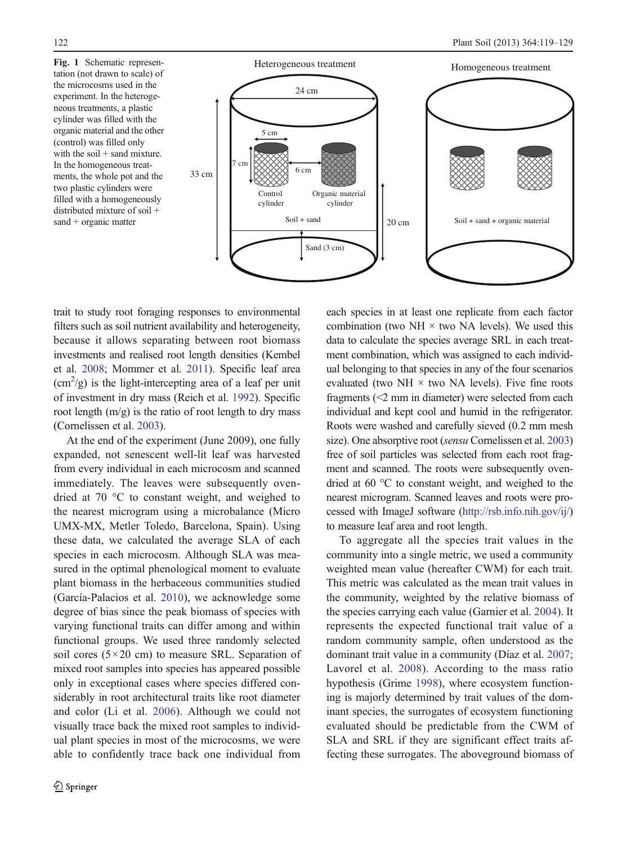<span id="page-3-0"></span>

trait to study root foraging responses to environmental filters such as soil nutrient availability and heterogeneity, because it allows separating between root biomass investments and realised root length densities (Kembel et al. [2008;](#page-9-0) Mommer et al. [2011](#page-9-0)). Specific leaf area  $(cm<sup>2</sup>/g)$  is the light-intercepting area of a leaf per unit of investment in dry mass (Reich et al. [1992](#page-9-0)). Specific root length  $(m/g)$  is the ratio of root length to dry mass (Cornelissen et al. [2003](#page-8-0)).

At the end of the experiment (June 2009), one fully expanded, not senescent well-lit leaf was harvested from every individual in each microcosm and scanned immediately. The leaves were subsequently ovendried at 70 °C to constant weight, and weighed to the nearest microgram using a microbalance (Micro UMX-MX, Metler Toledo, Barcelona, Spain). Using these data, we calculated the average SLA of each species in each microcosm. Although SLA was measured in the optimal phenological moment to evaluate plant biomass in the herbaceous communities studied (García-Palacios et al. [2010](#page-8-0)), we acknowledge some degree of bias since the peak biomass of species with varying functional traits can differ among and within functional groups. We used three randomly selected soil cores  $(5 \times 20 \text{ cm})$  to measure SRL. Separation of mixed root samples into species has appeared possible only in exceptional cases where species differed considerably in root architectural traits like root diameter and color (Li et al. [2006\)](#page-9-0). Although we could not visually trace back the mixed root samples to individual plant species in most of the microcosms, we were able to confidently trace back one individual from

each species in at least one replicate from each factor combination (two NH  $\times$  two NA levels). We used this data to calculate the species average SRL in each treatment combination, which was assigned to each individual belonging to that species in any of the four scenarios evaluated (two NH  $\times$  two NA levels). Five fine roots fragments (<2 mm in diameter) were selected from each individual and kept cool and humid in the refrigerator. Roots were washed and carefully sieved (0.2 mm mesh size). One absorptive root (sensu Cornelissen et al. [2003](#page-8-0)) free of soil particles was selected from each root fragment and scanned. The roots were subsequently ovendried at 60 °C to constant weight, and weighed to the nearest microgram. Scanned leaves and roots were processed with ImageJ software (<http://rsb.info.nih.gov/ij/>) to measure leaf area and root length.

To aggregate all the species trait values in the community into a single metric, we used a community weighted mean value (hereafter CWM) for each trait. This metric was calculated as the mean trait values in the community, weighted by the relative biomass of the species carrying each value (Garnier et al. [2004](#page-8-0)). It represents the expected functional trait value of a random community sample, often understood as the dominant trait value in a community (Díaz et al. [2007;](#page-8-0) Lavorel et al. [2008\)](#page-9-0). According to the mass ratio hypothesis (Grime [1998\)](#page-8-0), where ecosystem functioning is majorly determined by trait values of the dominant species, the surrogates of ecosystem functioning evaluated should be predictable from the CWM of SLA and SRL if they are significant effect traits affecting these surrogates. The aboveground biomass of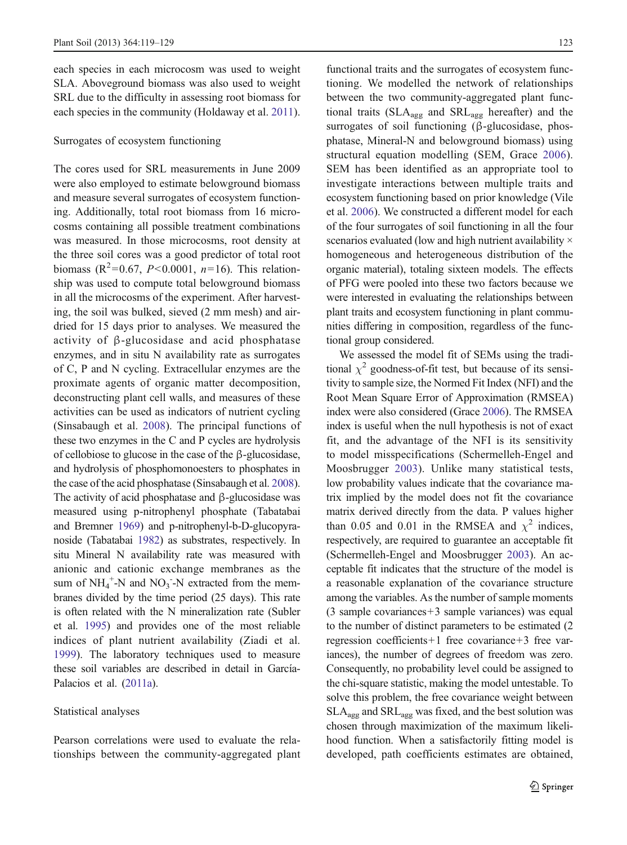each species in each microcosm was used to weight SLA. Aboveground biomass was also used to weight SRL due to the difficulty in assessing root biomass for each species in the community (Holdaway et al. [2011](#page-9-0)).

## Surrogates of ecosystem functioning

The cores used for SRL measurements in June 2009 were also employed to estimate belowground biomass and measure several surrogates of ecosystem functioning. Additionally, total root biomass from 16 microcosms containing all possible treatment combinations was measured. In those microcosms, root density at the three soil cores was a good predictor of total root biomass ( $R^2$ =0.67, *P*<0.0001, *n*=16). This relationship was used to compute total belowground biomass in all the microcosms of the experiment. After harvesting, the soil was bulked, sieved (2 mm mesh) and airdried for 15 days prior to analyses. We measured the activity of β-glucosidase and acid phosphatase enzymes, and in situ N availability rate as surrogates of C, P and N cycling. Extracellular enzymes are the proximate agents of organic matter decomposition, deconstructing plant cell walls, and measures of these activities can be used as indicators of nutrient cycling (Sinsabaugh et al. [2008\)](#page-9-0). The principal functions of these two enzymes in the C and P cycles are hydrolysis of cellobiose to glucose in the case of the β-glucosidase, and hydrolysis of phosphomonoesters to phosphates in the case of the acid phosphatase (Sinsabaugh et al. [2008\)](#page-9-0). The activity of acid phosphatase and β-glucosidase was measured using p-nitrophenyl phosphate (Tabatabai and Bremner [1969](#page-9-0)) and p-nitrophenyl-b-D-glucopyranoside (Tabatabai [1982](#page-9-0)) as substrates, respectively. In situ Mineral N availability rate was measured with anionic and cationic exchange membranes as the sum of  $NH_4^+$ -N and  $NO_3^-$ -N extracted from the membranes divided by the time period (25 days). This rate is often related with the N mineralization rate (Subler et al. [1995](#page-9-0)) and provides one of the most reliable indices of plant nutrient availability (Ziadi et al. [1999\)](#page-10-0). The laboratory techniques used to measure these soil variables are described in detail in García-Palacios et al. [\(2011a\)](#page-8-0).

#### Statistical analyses

Pearson correlations were used to evaluate the relationships between the community-aggregated plant functional traits and the surrogates of ecosystem functioning. We modelled the network of relationships between the two community-aggregated plant functional traits ( $SLA_{\text{agg}}$  and  $SRL_{\text{agg}}$  hereafter) and the surrogates of soil functioning (β-glucosidase, phosphatase, Mineral-N and belowground biomass) using structural equation modelling (SEM, Grace [2006](#page-8-0)). SEM has been identified as an appropriate tool to investigate interactions between multiple traits and ecosystem functioning based on prior knowledge (Vile et al. [2006](#page-10-0)). We constructed a different model for each of the four surrogates of soil functioning in all the four scenarios evaluated (low and high nutrient availability  $\times$ homogeneous and heterogeneous distribution of the organic material), totaling sixteen models. The effects of PFG were pooled into these two factors because we were interested in evaluating the relationships between plant traits and ecosystem functioning in plant communities differing in composition, regardless of the functional group considered.

We assessed the model fit of SEMs using the traditional  $\chi^2$  goodness-of-fit test, but because of its sensitivity to sample size, the Normed Fit Index (NFI) and the Root Mean Square Error of Approximation (RMSEA) index were also considered (Grace [2006\)](#page-8-0). The RMSEA index is useful when the null hypothesis is not of exact fit, and the advantage of the NFI is its sensitivity to model misspecifications (Schermelleh-Engel and Moosbrugger [2003\)](#page-9-0). Unlike many statistical tests, low probability values indicate that the covariance matrix implied by the model does not fit the covariance matrix derived directly from the data. P values higher than 0.05 and 0.01 in the RMSEA and  $\chi^2$  indices, respectively, are required to guarantee an acceptable fit (Schermelleh-Engel and Moosbrugger [2003](#page-9-0)). An acceptable fit indicates that the structure of the model is a reasonable explanation of the covariance structure among the variables. As the number of sample moments (3 sample covariances+3 sample variances) was equal to the number of distinct parameters to be estimated (2 regression coefficients+1 free covariance+3 free variances), the number of degrees of freedom was zero. Consequently, no probability level could be assigned to the chi-square statistic, making the model untestable. To solve this problem, the free covariance weight between  $SLA_{\text{agg}}$  and  $SRL_{\text{agg}}$  was fixed, and the best solution was chosen through maximization of the maximum likelihood function. When a satisfactorily fitting model is developed, path coefficients estimates are obtained,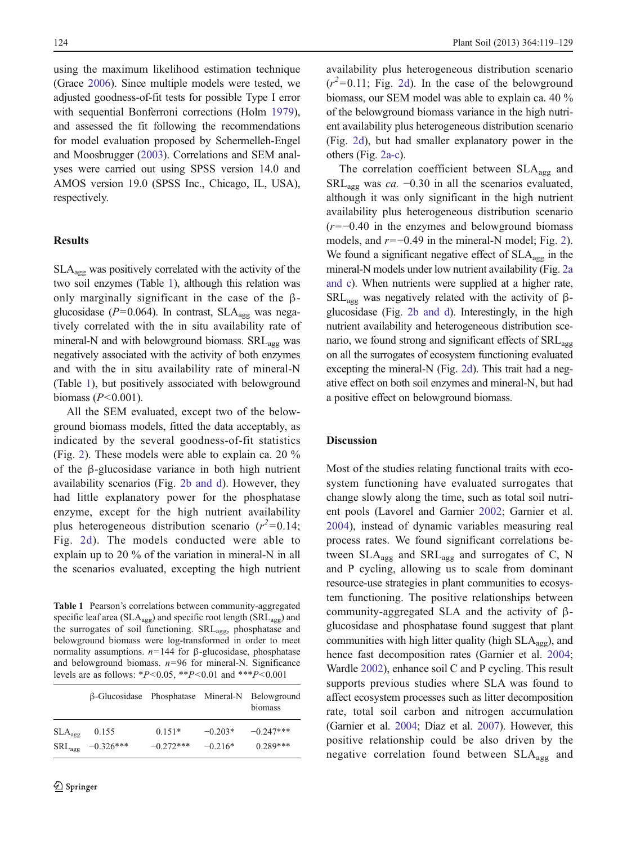<span id="page-5-0"></span>using the maximum likelihood estimation technique (Grace [2006](#page-8-0)). Since multiple models were tested, we adjusted goodness-of-fit tests for possible Type I error with sequential Bonferroni corrections (Holm [1979\)](#page-9-0), and assessed the fit following the recommendations for model evaluation proposed by Schermelleh-Engel and Moosbrugger [\(2003](#page-9-0)). Correlations and SEM analyses were carried out using SPSS version 14.0 and AMOS version 19.0 (SPSS Inc., Chicago, IL, USA), respectively.

## **Results**

SLAagg was positively correlated with the activity of the two soil enzymes (Table 1), although this relation was only marginally significant in the case of the βglucosidase ( $P=0.064$ ). In contrast, SLA<sub>agg</sub> was negatively correlated with the in situ availability rate of mineral-N and with belowground biomass.  $SRL_{agg}$  was negatively associated with the activity of both enzymes and with the in situ availability rate of mineral-N (Table 1), but positively associated with belowground biomass  $(P<0.001)$ .

All the SEM evaluated, except two of the belowground biomass models, fitted the data acceptably, as indicated by the several goodness-of-fit statistics (Fig. [2\)](#page-6-0). These models were able to explain ca. 20 % of the β-glucosidase variance in both high nutrient availability scenarios (Fig. [2b and d\)](#page-6-0). However, they had little explanatory power for the phosphatase enzyme, except for the high nutrient availability plus heterogeneous distribution scenario  $(r^2=0.14;$ Fig. [2d\)](#page-6-0). The models conducted were able to explain up to 20 % of the variation in mineral-N in all the scenarios evaluated, excepting the high nutrient

Table 1 Pearson's correlations between community-aggregated specific leaf area ( $SLA_{agg}$ ) and specific root length ( $SRL_{agg}$ ) and the surrogates of soil functioning. SRLagg, phosphatase and belowground biomass were log-transformed in order to meet normality assumptions.  $n=144$  for β-glucosidase, phosphatase and belowground biomass.  $n=96$  for mineral-N. Significance levels are as follows: \* $P < 0.05$ , \*\* $P < 0.01$  and \*\*\* $P < 0.001$ 

|                    | β-Glucosidase Phosphatase Mineral-N Belowground |             |           | biomass     |
|--------------------|-------------------------------------------------|-------------|-----------|-------------|
| $SLA_{\text{age}}$ | 0.155                                           | $0.151*$    | $-0.203*$ | $-0.247***$ |
| $SRL_{\text{age}}$ | $-0.326***$                                     | $-0.272***$ | $-0.216*$ | $0.289***$  |

availability plus heterogeneous distribution scenario  $(r^2=0.11;$  Fig. [2d\)](#page-6-0). In the case of the belowground biomass, our SEM model was able to explain ca. 40 % of the belowground biomass variance in the high nutrient availability plus heterogeneous distribution scenario (Fig. [2d\)](#page-6-0), but had smaller explanatory power in the others (Fig. [2a-c\)](#page-6-0).

The correlation coefficient between  $SLA_{\text{agg}}$  and SRL<sub>agg</sub> was *ca.* −0.30 in all the scenarios evaluated, although it was only significant in the high nutrient availability plus heterogeneous distribution scenario  $(r=-0.40$  in the enzymes and belowground biomass models, and  $r=-0.49$  in the mineral-N model; Fig. [2\)](#page-6-0). We found a significant negative effect of  $SLA_{\text{agg}}$  in the mineral-N models under low nutrient availability (Fig. [2a](#page-6-0) [and c\)](#page-6-0). When nutrients were supplied at a higher rate, SRL<sub>agg</sub> was negatively related with the activity of βglucosidase (Fig. [2b and d\)](#page-6-0). Interestingly, in the high nutrient availability and heterogeneous distribution scenario, we found strong and significant effects of SRL<sub>agg</sub> on all the surrogates of ecosystem functioning evaluated excepting the mineral-N (Fig. [2d](#page-6-0)). This trait had a negative effect on both soil enzymes and mineral-N, but had a positive effect on belowground biomass.

# **Discussion**

Most of the studies relating functional traits with ecosystem functioning have evaluated surrogates that change slowly along the time, such as total soil nutrient pools (Lavorel and Garnier [2002](#page-9-0); Garnier et al. [2004\)](#page-8-0), instead of dynamic variables measuring real process rates. We found significant correlations between  $SLA_{\text{agg}}$  and  $SRL_{\text{agg}}$  and surrogates of C, N and P cycling, allowing us to scale from dominant resource-use strategies in plant communities to ecosystem functioning. The positive relationships between community-aggregated SLA and the activity of βglucosidase and phosphatase found suggest that plant communities with high litter quality (high  $SLA_{\text{avg}}$ ), and hence fast decomposition rates (Garnier et al. [2004;](#page-8-0) Wardle [2002\)](#page-10-0), enhance soil C and P cycling. This result supports previous studies where SLA was found to affect ecosystem processes such as litter decomposition rate, total soil carbon and nitrogen accumulation (Garnier et al. [2004](#page-8-0); Díaz et al. [2007](#page-8-0)). However, this positive relationship could be also driven by the negative correlation found between  $SLA_{\text{agg}}$  and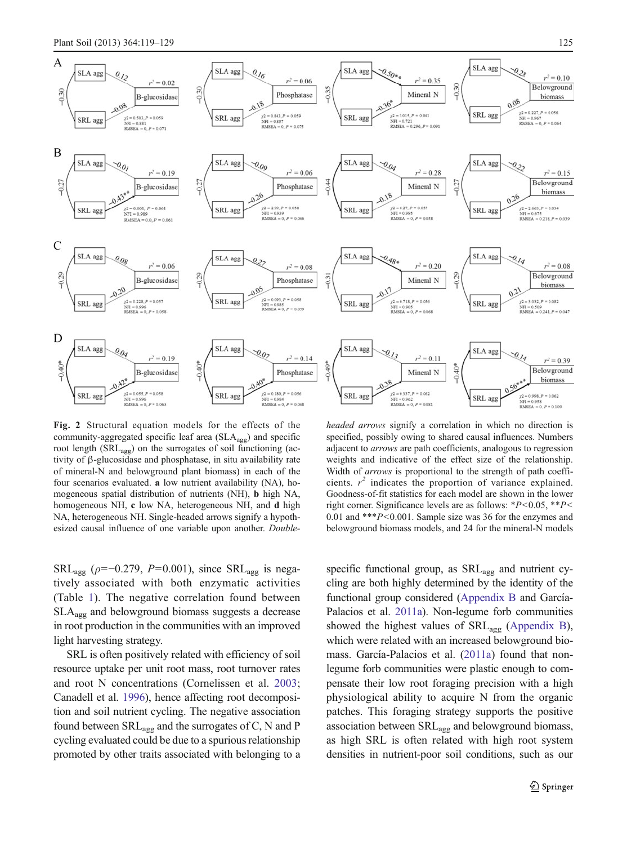<span id="page-6-0"></span>

Fig. 2 Structural equation models for the effects of the community-aggregated specific leaf area (SLA<sub>agg</sub>) and specific root length (SRLagg) on the surrogates of soil functioning (activity of β-glucosidase and phosphatase, in situ availability rate of mineral-N and belowground plant biomass) in each of the four scenarios evaluated. a low nutrient availability (NA), homogeneous spatial distribution of nutrients (NH), b high NA, homogeneous NH, c low NA, heterogeneous NH, and d high NA, heterogeneous NH. Single-headed arrows signify a hypothesized causal influence of one variable upon another. Double-

 $SRL_{agg}$  ( $\rho$ =-0.279, P=0.001), since  $SRL_{agg}$  is negatively associated with both enzymatic activities (Table [1](#page-5-0)). The negative correlation found between SLAagg and belowground biomass suggests a decrease in root production in the communities with an improved light harvesting strategy.

SRL is often positively related with efficiency of soil resource uptake per unit root mass, root turnover rates and root N concentrations (Cornelissen et al. [2003](#page-8-0); Canadell et al. [1996](#page-8-0)), hence affecting root decomposition and soil nutrient cycling. The negative association found between  $SRL_{agg}$  and the surrogates of C, N and P cycling evaluated could be due to a spurious relationship promoted by other traits associated with belonging to a

headed arrows signify a correlation in which no direction is specified, possibly owing to shared causal influences. Numbers adjacent to arrows are path coefficients, analogous to regression weights and indicative of the effect size of the relationship. Width of arrows is proportional to the strength of path coefficients.  $r^2$  indicates the proportion of variance explained. Goodness-of-fit statistics for each model are shown in the lower right corner. Significance levels are as follows:  $*P<0.05$ ,  $*P<$ 0.01 and \*\*\*P<0.001. Sample size was 36 for the enzymes and belowground biomass models, and 24 for the mineral-N models

specific functional group, as SRL<sub>agg</sub> and nutrient cycling are both highly determined by the identity of the functional group considered (Appendix B and García-Palacios et al. [2011a](#page-8-0)). Non-legume forb communities showed the highest values of  $SRL_{agg}$  (Appendix B), which were related with an increased belowground biomass. García-Palacios et al. [\(2011a\)](#page-8-0) found that nonlegume forb communities were plastic enough to compensate their low root foraging precision with a high physiological ability to acquire N from the organic patches. This foraging strategy supports the positive association between SRLagg and belowground biomass, as high SRL is often related with high root system densities in nutrient-poor soil conditions, such as our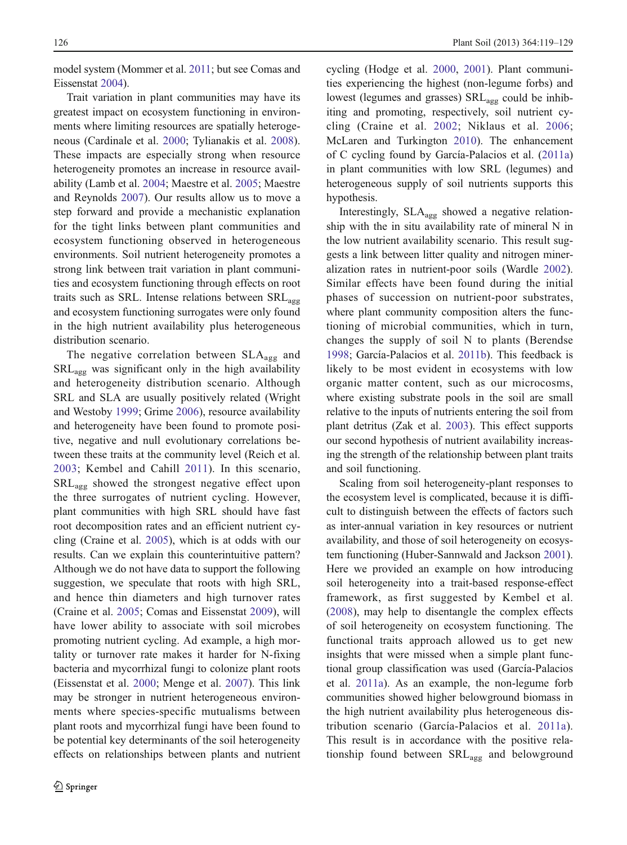model system (Mommer et al. [2011](#page-9-0); but see Comas and Eissenstat [2004](#page-8-0)).

Trait variation in plant communities may have its greatest impact on ecosystem functioning in environments where limiting resources are spatially heterogeneous (Cardinale et al. [2000](#page-8-0); Tylianakis et al. [2008](#page-9-0)). These impacts are especially strong when resource heterogeneity promotes an increase in resource availability (Lamb et al. [2004;](#page-9-0) Maestre et al. [2005](#page-9-0); Maestre and Reynolds [2007\)](#page-9-0). Our results allow us to move a step forward and provide a mechanistic explanation for the tight links between plant communities and ecosystem functioning observed in heterogeneous environments. Soil nutrient heterogeneity promotes a strong link between trait variation in plant communities and ecosystem functioning through effects on root traits such as SRL. Intense relations between SRL<sub>agg</sub> and ecosystem functioning surrogates were only found in the high nutrient availability plus heterogeneous distribution scenario.

The negative correlation between SLA<sub>agg</sub> and  $SRL_{\text{agg}}$  was significant only in the high availability and heterogeneity distribution scenario. Although SRL and SLA are usually positively related (Wright and Westoby [1999;](#page-10-0) Grime [2006\)](#page-9-0), resource availability and heterogeneity have been found to promote positive, negative and null evolutionary correlations between these traits at the community level (Reich et al. [2003](#page-9-0); Kembel and Cahill [2011\)](#page-9-0). In this scenario, SRLagg showed the strongest negative effect upon the three surrogates of nutrient cycling. However, plant communities with high SRL should have fast root decomposition rates and an efficient nutrient cycling (Craine et al. [2005](#page-8-0)), which is at odds with our results. Can we explain this counterintuitive pattern? Although we do not have data to support the following suggestion, we speculate that roots with high SRL, and hence thin diameters and high turnover rates (Craine et al. [2005](#page-8-0); Comas and Eissenstat [2009](#page-8-0)), will have lower ability to associate with soil microbes promoting nutrient cycling. Ad example, a high mortality or turnover rate makes it harder for N-fixing bacteria and mycorrhizal fungi to colonize plant roots (Eissenstat et al. [2000](#page-8-0); Menge et al. [2007\)](#page-9-0). This link may be stronger in nutrient heterogeneous environments where species-specific mutualisms between plant roots and mycorrhizal fungi have been found to be potential key determinants of the soil heterogeneity effects on relationships between plants and nutrient cycling (Hodge et al. [2000,](#page-9-0) [2001\)](#page-9-0). Plant communities experiencing the highest (non-legume forbs) and lowest (legumes and grasses) SRL<sub>agg</sub> could be inhibiting and promoting, respectively, soil nutrient cycling (Craine et al. [2002;](#page-8-0) Niklaus et al. [2006;](#page-9-0) McLaren and Turkington [2010](#page-9-0)). The enhancement of C cycling found by García-Palacios et al. [\(2011a](#page-8-0)) in plant communities with low SRL (legumes) and heterogeneous supply of soil nutrients supports this hypothesis.

Interestingly, SLAagg showed a negative relationship with the in situ availability rate of mineral N in the low nutrient availability scenario. This result suggests a link between litter quality and nitrogen mineralization rates in nutrient-poor soils (Wardle [2002\)](#page-10-0). Similar effects have been found during the initial phases of succession on nutrient-poor substrates, where plant community composition alters the functioning of microbial communities, which in turn, changes the supply of soil N to plants (Berendse [1998;](#page-8-0) García-Palacios et al. [2011b\)](#page-8-0). This feedback is likely to be most evident in ecosystems with low organic matter content, such as our microcosms, where existing substrate pools in the soil are small relative to the inputs of nutrients entering the soil from plant detritus (Zak et al. [2003](#page-10-0)). This effect supports our second hypothesis of nutrient availability increasing the strength of the relationship between plant traits and soil functioning.

Scaling from soil heterogeneity-plant responses to the ecosystem level is complicated, because it is difficult to distinguish between the effects of factors such as inter-annual variation in key resources or nutrient availability, and those of soil heterogeneity on ecosystem functioning (Huber-Sannwald and Jackson [2001\)](#page-9-0). Here we provided an example on how introducing soil heterogeneity into a trait-based response-effect framework, as first suggested by Kembel et al. [\(2008](#page-9-0)), may help to disentangle the complex effects of soil heterogeneity on ecosystem functioning. The functional traits approach allowed us to get new insights that were missed when a simple plant functional group classification was used (García-Palacios et al. [2011a\)](#page-8-0). As an example, the non-legume forb communities showed higher belowground biomass in the high nutrient availability plus heterogeneous distribution scenario (García-Palacios et al. [2011a](#page-8-0)). This result is in accordance with the positive relationship found between SRL<sub>agg</sub> and belowground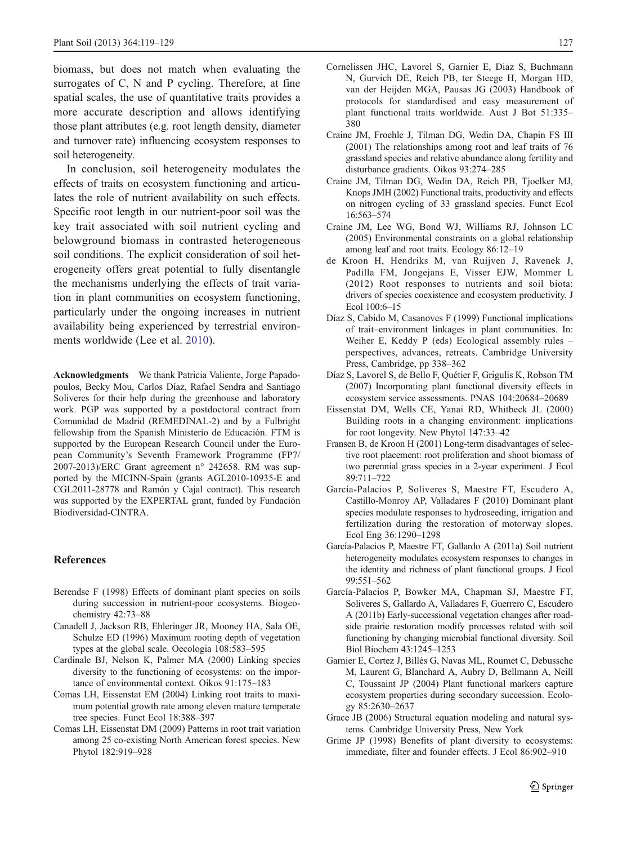<span id="page-8-0"></span>biomass, but does not match when evaluating the surrogates of C, N and P cycling. Therefore, at fine spatial scales, the use of quantitative traits provides a more accurate description and allows identifying those plant attributes (e.g. root length density, diameter and turnover rate) influencing ecosystem responses to soil heterogeneity.

In conclusion, soil heterogeneity modulates the effects of traits on ecosystem functioning and articulates the role of nutrient availability on such effects. Specific root length in our nutrient-poor soil was the key trait associated with soil nutrient cycling and belowground biomass in contrasted heterogeneous soil conditions. The explicit consideration of soil heterogeneity offers great potential to fully disentangle the mechanisms underlying the effects of trait variation in plant communities on ecosystem functioning, particularly under the ongoing increases in nutrient availability being experienced by terrestrial environments worldwide (Lee et al. [2010](#page-9-0)).

Acknowledgments We thank Patricia Valiente, Jorge Papadopoulos, Becky Mou, Carlos Díaz, Rafael Sendra and Santiago Soliveres for their help during the greenhouse and laboratory work. PGP was supported by a postdoctoral contract from Comunidad de Madrid (REMEDINAL-2) and by a Fulbright fellowship from the Spanish Ministerio de Educación. FTM is supported by the European Research Council under the European Community's Seventh Framework Programme (FP7/ 2007-2013)/ERC Grant agreement n° 242658. RM was supported by the MICINN-Spain (grants AGL2010-10935-E and CGL2011-28778 and Ramón y Cajal contract). This research was supported by the EXPERTAL grant, funded by Fundación Biodiversidad-CINTRA.

#### References

- Berendse F (1998) Effects of dominant plant species on soils during succession in nutrient-poor ecosystems. Biogeochemistry 42:73–88
- Canadell J, Jackson RB, Ehleringer JR, Mooney HA, Sala OE, Schulze ED (1996) Maximum rooting depth of vegetation types at the global scale. Oecologia 108:583–595
- Cardinale BJ, Nelson K, Palmer MA (2000) Linking species diversity to the functioning of ecosystems: on the importance of environmental context. Oikos 91:175–183
- Comas LH, Eissenstat EM (2004) Linking root traits to maximum potential growth rate among eleven mature temperate tree species. Funct Ecol 18:388–397
- Comas LH, Eissenstat DM (2009) Patterns in root trait variation among 25 co-existing North American forest species. New Phytol 182:919–928
- Cornelissen JHC, Lavorel S, Garnier E, Diaz S, Buchmann N, Gurvich DE, Reich PB, ter Steege H, Morgan HD, van der Heijden MGA, Pausas JG (2003) Handbook of protocols for standardised and easy measurement of plant functional traits worldwide. Aust J Bot 51:335– 380
- Craine JM, Froehle J, Tilman DG, Wedin DA, Chapin FS III (2001) The relationships among root and leaf traits of 76 grassland species and relative abundance along fertility and disturbance gradients. Oikos 93:274–285
- Craine JM, Tilman DG, Wedin DA, Reich PB, Tjoelker MJ, Knops JMH (2002) Functional traits, productivity and effects on nitrogen cycling of 33 grassland species. Funct Ecol 16:563–574
- Craine JM, Lee WG, Bond WJ, Williams RJ, Johnson LC (2005) Environmental constraints on a global relationship among leaf and root traits. Ecology 86:12–19
- de Kroon H, Hendriks M, van Ruijven J, Ravenek J, Padilla FM, Jongejans E, Visser EJW, Mommer L (2012) Root responses to nutrients and soil biota: drivers of species coexistence and ecosystem productivity. J Ecol 100:6–15
- Díaz S, Cabido M, Casanoves F (1999) Functional implications of trait–environment linkages in plant communities. In: Weiher E, Keddy P (eds) Ecological assembly rules – perspectives, advances, retreats. Cambridge University Press, Cambridge, pp 338–362
- Díaz S, Lavorel S, de Bello F, Quétier F, Grigulis K, Robson TM (2007) Incorporating plant functional diversity effects in ecosystem service assessments. PNAS 104:20684–20689
- Eissenstat DM, Wells CE, Yanai RD, Whitbeck JL (2000) Building roots in a changing environment: implications for root longevity. New Phytol 147:33–42
- Fransen B, de Kroon H (2001) Long-term disadvantages of selective root placement: root proliferation and shoot biomass of two perennial grass species in a 2-year experiment. J Ecol 89:711–722
- García-Palacios P, Soliveres S, Maestre FT, Escudero A, Castillo-Monroy AP, Valladares F (2010) Dominant plant species modulate responses to hydroseeding, irrigation and fertilization during the restoration of motorway slopes. Ecol Eng 36:1290–1298
- García-Palacios P, Maestre FT, Gallardo A (2011a) Soil nutrient heterogeneity modulates ecosystem responses to changes in the identity and richness of plant functional groups. J Ecol 99:551–562
- García-Palacios P, Bowker MA, Chapman SJ, Maestre FT, Soliveres S, Gallardo A, Valladares F, Guerrero C, Escudero A (2011b) Early-successional vegetation changes after roadside prairie restoration modify processes related with soil functioning by changing microbial functional diversity. Soil Biol Biochem 43:1245–1253
- Garnier E, Cortez J, Billès G, Navas ML, Roumet C, Debussche M, Laurent G, Blanchard A, Aubry D, Bellmann A, Neill C, Toussaint JP (2004) Plant functional markers capture ecosystem properties during secondary succession. Ecology 85:2630–2637
- Grace JB (2006) Structural equation modeling and natural systems. Cambridge University Press, New York
- Grime JP (1998) Benefits of plant diversity to ecosystems: immediate, filter and founder effects. J Ecol 86:902–910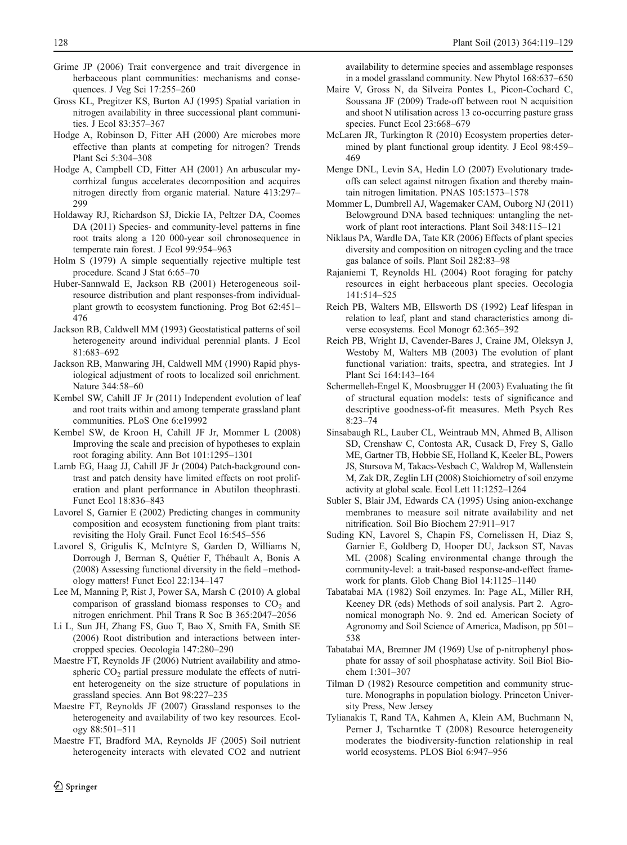- <span id="page-9-0"></span>Grime JP (2006) Trait convergence and trait divergence in herbaceous plant communities: mechanisms and consequences. J Veg Sci 17:255–260
- Gross KL, Pregitzer KS, Burton AJ (1995) Spatial variation in nitrogen availability in three successional plant communities. J Ecol 83:357–367
- Hodge A, Robinson D, Fitter AH (2000) Are microbes more effective than plants at competing for nitrogen? Trends Plant Sci 5:304–308
- Hodge A, Campbell CD, Fitter AH (2001) An arbuscular mycorrhizal fungus accelerates decomposition and acquires nitrogen directly from organic material. Nature 413:297– 299
- Holdaway RJ, Richardson SJ, Dickie IA, Peltzer DA, Coomes DA (2011) Species- and community-level patterns in fine root traits along a 120 000-year soil chronosequence in temperate rain forest. J Ecol 99:954–963
- Holm S (1979) A simple sequentially rejective multiple test procedure. Scand J Stat 6:65–70
- Huber-Sannwald E, Jackson RB (2001) Heterogeneous soilresource distribution and plant responses-from individualplant growth to ecosystem functioning. Prog Bot 62:451– 476
- Jackson RB, Caldwell MM (1993) Geostatistical patterns of soil heterogeneity around individual perennial plants. J Ecol 81:683–692
- Jackson RB, Manwaring JH, Caldwell MM (1990) Rapid physiological adjustment of roots to localized soil enrichment. Nature 344:58–60
- Kembel SW, Cahill JF Jr (2011) Independent evolution of leaf and root traits within and among temperate grassland plant communities. PLoS One 6:e19992
- Kembel SW, de Kroon H, Cahill JF Jr, Mommer L (2008) Improving the scale and precision of hypotheses to explain root foraging ability. Ann Bot 101:1295–1301
- Lamb EG, Haag JJ, Cahill JF Jr (2004) Patch-background contrast and patch density have limited effects on root proliferation and plant performance in Abutilon theophrasti. Funct Ecol 18:836–843
- Lavorel S, Garnier E (2002) Predicting changes in community composition and ecosystem functioning from plant traits: revisiting the Holy Grail. Funct Ecol 16:545–556
- Lavorel S, Grigulis K, McIntyre S, Garden D, Williams N, Dorrough J, Berman S, Quétier F, Thébault A, Bonis A (2008) Assessing functional diversity in the field –methodology matters! Funct Ecol 22:134–147
- Lee M, Manning P, Rist J, Power SA, Marsh C (2010) A global comparison of grassland biomass responses to  $CO<sub>2</sub>$  and nitrogen enrichment. Phil Trans R Soc B 365:2047–2056
- Li L, Sun JH, Zhang FS, Guo T, Bao X, Smith FA, Smith SE (2006) Root distribution and interactions between intercropped species. Oecologia 147:280–290
- Maestre FT, Reynolds JF (2006) Nutrient availability and atmospheric  $CO<sub>2</sub>$  partial pressure modulate the effects of nutrient heterogeneity on the size structure of populations in grassland species. Ann Bot 98:227–235
- Maestre FT, Reynolds JF (2007) Grassland responses to the heterogeneity and availability of two key resources. Ecology 88:501–511
- Maestre FT, Bradford MA, Reynolds JF (2005) Soil nutrient heterogeneity interacts with elevated CO2 and nutrient

availability to determine species and assemblage responses in a model grassland community. New Phytol 168:637–650

- Maire V, Gross N, da Silveira Pontes L, Picon-Cochard C, Soussana JF (2009) Trade-off between root N acquisition and shoot N utilisation across 13 co-occurring pasture grass species. Funct Ecol 23:668–679
- McLaren JR, Turkington R (2010) Ecosystem properties determined by plant functional group identity. J Ecol 98:459– 469
- Menge DNL, Levin SA, Hedin LO (2007) Evolutionary tradeoffs can select against nitrogen fixation and thereby maintain nitrogen limitation. PNAS 105:1573–1578
- Mommer L, Dumbrell AJ, Wagemaker CAM, Ouborg NJ (2011) Belowground DNA based techniques: untangling the network of plant root interactions. Plant Soil 348:115–121
- Niklaus PA, Wardle DA, Tate KR (2006) Effects of plant species diversity and composition on nitrogen cycling and the trace gas balance of soils. Plant Soil 282:83–98
- Rajaniemi T, Reynolds HL (2004) Root foraging for patchy resources in eight herbaceous plant species. Oecologia 141:514–525
- Reich PB, Walters MB, Ellsworth DS (1992) Leaf lifespan in relation to leaf, plant and stand characteristics among diverse ecosystems. Ecol Monogr 62:365–392
- Reich PB, Wright IJ, Cavender-Bares J, Craine JM, Oleksyn J, Westoby M, Walters MB (2003) The evolution of plant functional variation: traits, spectra, and strategies. Int J Plant Sci 164:143–164
- Schermelleh-Engel K, Moosbrugger H (2003) Evaluating the fit of structural equation models: tests of significance and descriptive goodness-of-fit measures. Meth Psych Res 8:23–74
- Sinsabaugh RL, Lauber CL, Weintraub MN, Ahmed B, Allison SD, Crenshaw C, Contosta AR, Cusack D, Frey S, Gallo ME, Gartner TB, Hobbie SE, Holland K, Keeler BL, Powers JS, Stursova M, Takacs-Vesbach C, Waldrop M, Wallenstein M, Zak DR, Zeglin LH (2008) Stoichiometry of soil enzyme activity at global scale. Ecol Lett 11:1252–1264
- Subler S, Blair JM, Edwards CA (1995) Using anion-exchange membranes to measure soil nitrate availability and net nitrification. Soil Bio Biochem 27:911–917
- Suding KN, Lavorel S, Chapin FS, Cornelissen H, Diaz S, Garnier E, Goldberg D, Hooper DU, Jackson ST, Navas ML (2008) Scaling environmental change through the community-level: a trait-based response-and-effect framework for plants. Glob Chang Biol 14:1125–1140
- Tabatabai MA (1982) Soil enzymes. In: Page AL, Miller RH, Keeney DR (eds) Methods of soil analysis. Part 2. Agronomical monograph No. 9. 2nd ed. American Society of Agronomy and Soil Science of America, Madison, pp 501– 538
- Tabatabai MA, Bremner JM (1969) Use of p-nitrophenyl phosphate for assay of soil phosphatase activity. Soil Biol Biochem 1:301–307
- Tilman D (1982) Resource competition and community structure. Monographs in population biology. Princeton University Press, New Jersey
- Tylianakis T, Rand TA, Kahmen A, Klein AM, Buchmann N, Perner J, Tscharntke T (2008) Resource heterogeneity moderates the biodiversity-function relationship in real world ecosystems. PLOS Biol 6:947–956